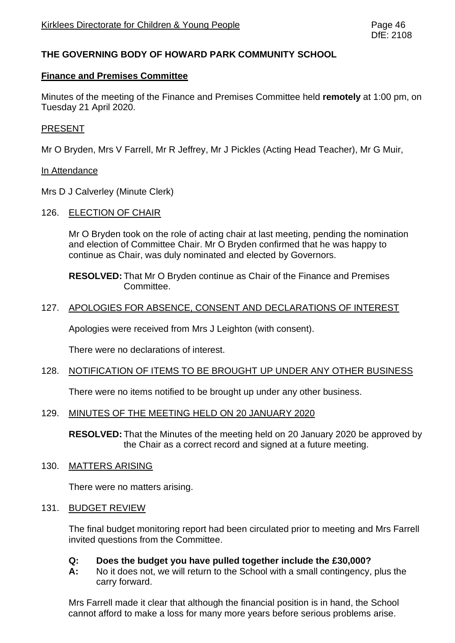# **THE GOVERNING BODY OF HOWARD PARK COMMUNITY SCHOOL**

#### **Finance and Premises Committee**

Minutes of the meeting of the Finance and Premises Committee held **remotely** at 1:00 pm, on Tuesday 21 April 2020.

#### PRESENT

Mr O Bryden, Mrs V Farrell, Mr R Jeffrey, Mr J Pickles (Acting Head Teacher), Mr G Muir,

#### In Attendance

Mrs D J Calverley (Minute Clerk)

126. ELECTION OF CHAIR

Mr O Bryden took on the role of acting chair at last meeting, pending the nomination and election of Committee Chair. Mr O Bryden confirmed that he was happy to continue as Chair, was duly nominated and elected by Governors.

**RESOLVED:** That Mr O Bryden continue as Chair of the Finance and Premises Committee.

#### 127. APOLOGIES FOR ABSENCE, CONSENT AND DECLARATIONS OF INTEREST

Apologies were received from Mrs J Leighton (with consent).

There were no declarations of interest.

## 128. NOTIFICATION OF ITEMS TO BE BROUGHT UP UNDER ANY OTHER BUSINESS

There were no items notified to be brought up under any other business.

#### 129. MINUTES OF THE MEETING HELD ON 20 JANUARY 2020

**RESOLVED:** That the Minutes of the meeting held on 20 January 2020 be approved by the Chair as a correct record and signed at a future meeting.

#### 130. MATTERS ARISING

There were no matters arising.

#### 131. BUDGET REVIEW

The final budget monitoring report had been circulated prior to meeting and Mrs Farrell invited questions from the Committee.

## **Q: Does the budget you have pulled together include the £30,000?**

**A:** No it does not, we will return to the School with a small contingency, plus the carry forward.

Mrs Farrell made it clear that although the financial position is in hand, the School cannot afford to make a loss for many more years before serious problems arise.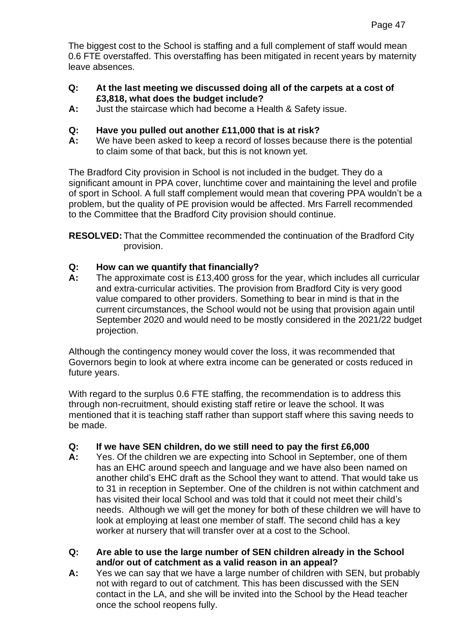The biggest cost to the School is staffing and a full complement of staff would mean 0.6 FTE overstaffed. This overstaffing has been mitigated in recent years by maternity leave absences.

- **Q: At the last meeting we discussed doing all of the carpets at a cost of £3,818, what does the budget include?**
- **A:** Just the staircase which had become a Health & Safety issue.
- **Q: Have you pulled out another £11,000 that is at risk?**
- **A:** We have been asked to keep a record of losses because there is the potential to claim some of that back, but this is not known yet.

The Bradford City provision in School is not included in the budget. They do a significant amount in PPA cover, lunchtime cover and maintaining the level and profile of sport in School. A full staff complement would mean that covering PPA wouldn't be a problem, but the quality of PE provision would be affected. Mrs Farrell recommended to the Committee that the Bradford City provision should continue.

**RESOLVED:** That the Committee recommended the continuation of the Bradford City provision.

# **Q: How can we quantify that financially?**

**A:** The approximate cost is £13,400 gross for the year, which includes all curricular and extra-curricular activities. The provision from Bradford City is very good value compared to other providers. Something to bear in mind is that in the current circumstances, the School would not be using that provision again until September 2020 and would need to be mostly considered in the 2021/22 budget projection.

Although the contingency money would cover the loss, it was recommended that Governors begin to look at where extra income can be generated or costs reduced in future years.

With regard to the surplus 0.6 FTE staffing, the recommendation is to address this through non-recruitment, should existing staff retire or leave the school. It was mentioned that it is teaching staff rather than support staff where this saving needs to be made.

## **Q: If we have SEN children, do we still need to pay the first £6,000**

- **A:** Yes. Of the children we are expecting into School in September, one of them has an EHC around speech and language and we have also been named on another child's EHC draft as the School they want to attend. That would take us to 31 in reception in September. One of the children is not within catchment and has visited their local School and was told that it could not meet their child's needs. Although we will get the money for both of these children we will have to look at employing at least one member of staff. The second child has a key worker at nursery that will transfer over at a cost to the School.
- **Q: Are able to use the large number of SEN children already in the School and/or out of catchment as a valid reason in an appeal?**
- **A:** Yes we can say that we have a large number of children with SEN, but probably not with regard to out of catchment. This has been discussed with the SEN contact in the LA, and she will be invited into the School by the Head teacher once the school reopens fully.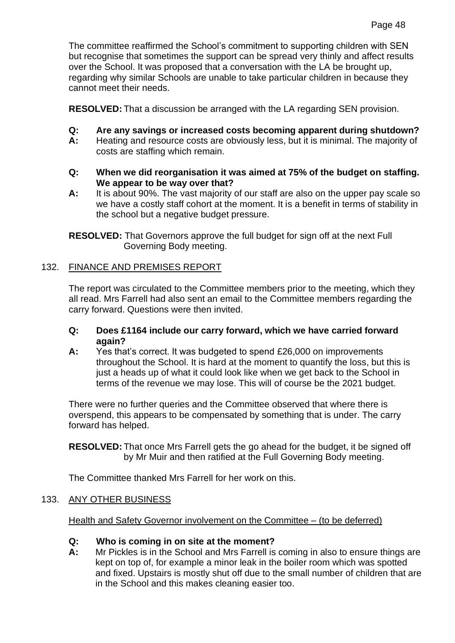The committee reaffirmed the School's commitment to supporting children with SEN but recognise that sometimes the support can be spread very thinly and affect results over the School. It was proposed that a conversation with the LA be brought up, regarding why similar Schools are unable to take particular children in because they cannot meet their needs.

**RESOLVED:** That a discussion be arranged with the LA regarding SEN provision.

- **Q: Are any savings or increased costs becoming apparent during shutdown?**
- **A:** Heating and resource costs are obviously less, but it is minimal. The majority of costs are staffing which remain.
- **Q: When we did reorganisation it was aimed at 75% of the budget on staffing. We appear to be way over that?**
- **A:** It is about 90%. The vast majority of our staff are also on the upper pay scale so we have a costly staff cohort at the moment. It is a benefit in terms of stability in the school but a negative budget pressure.

**RESOLVED:** That Governors approve the full budget for sign off at the next Full Governing Body meeting.

## 132. FINANCE AND PREMISES REPORT

The report was circulated to the Committee members prior to the meeting, which they all read. Mrs Farrell had also sent an email to the Committee members regarding the carry forward. Questions were then invited.

## **Q: Does £1164 include our carry forward, which we have carried forward again?**

**A:** Yes that's correct. It was budgeted to spend £26,000 on improvements throughout the School. It is hard at the moment to quantify the loss, but this is just a heads up of what it could look like when we get back to the School in terms of the revenue we may lose. This will of course be the 2021 budget.

There were no further queries and the Committee observed that where there is overspend, this appears to be compensated by something that is under. The carry forward has helped.

**RESOLVED:** That once Mrs Farrell gets the go ahead for the budget, it be signed off by Mr Muir and then ratified at the Full Governing Body meeting.

The Committee thanked Mrs Farrell for her work on this.

# 133. ANY OTHER BUSINESS

Health and Safety Governor involvement on the Committee – (to be deferred)

## **Q: Who is coming in on site at the moment?**

**A:** Mr Pickles is in the School and Mrs Farrell is coming in also to ensure things are kept on top of, for example a minor leak in the boiler room which was spotted and fixed. Upstairs is mostly shut off due to the small number of children that are in the School and this makes cleaning easier too.